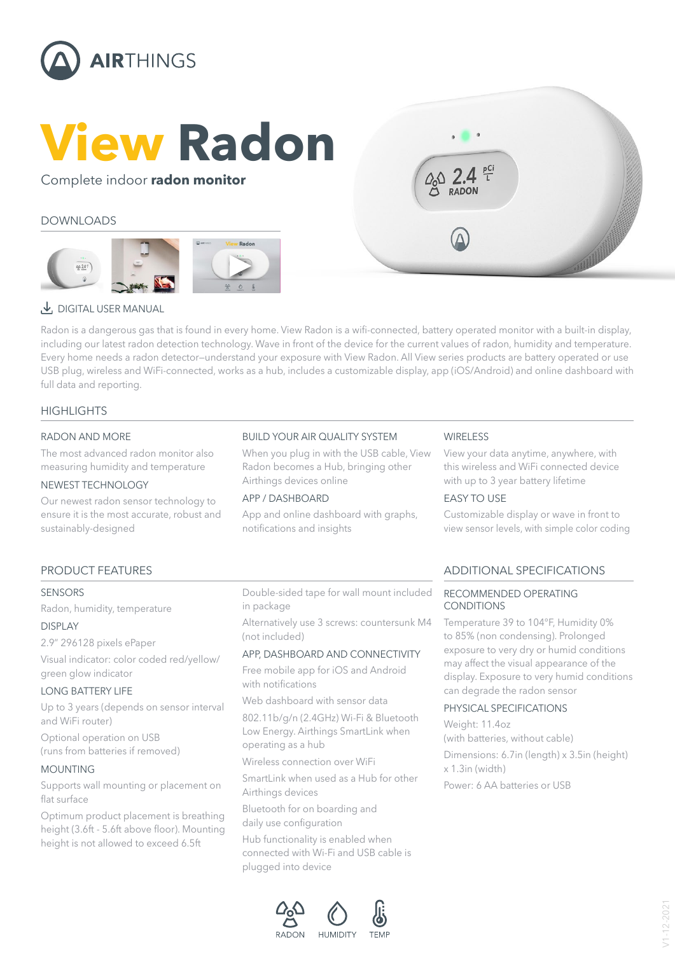

# **View Radon**

#### Complete indoor **radon monitor**

#### DOWNLOADS





### [DIGITAL USER MANUAL](https://www.airthings.com/view-series-manual)

Radon is a dangerous gas that is found in every home. View Radon is a wifi-connected, battery operated monitor with a built-in display, including our latest radon detection technology. Wave in front of the device for the current values of radon, humidity and temperature. Every home needs a radon detector—understand your exposure with View Radon. All View series products are battery operated or use USB plug, wireless and WiFi-connected, works as a hub, includes a customizable display, app (iOS/Android) and online dashboard with full data and reporting.

#### **HIGHLIGHTS**

#### RADON AND MORE

The most advanced radon monitor also measuring humidity and temperature

#### NEWEST TECHNOLOGY

Our newest radon sensor technology to ensure it is the most accurate, robust and sustainably-designed

#### BUILD YOUR AIR QUALITY SYSTEM

When you plug in with the USB cable, View Radon becomes a Hub, bringing other Airthings devices online

#### APP / DASHBOARD

App and online dashboard with graphs, notifications and insights

#### **WIRELESS**

View your data anytime, anywhere, with this wireless and WiFi connected device with up to 3 year battery lifetime

#### EASY TO USE

Customizable display or wave in front to view sensor levels, with simple color coding

#### SENSORS

Radon, humidity, temperature

#### DISPLAY

2.9" 296128 pixels ePaper

Visual indicator: color coded red/yellow/ green glow indicator

#### LONG BATTERY LIFE

Up to 3 years (depends on sensor interval and WiFi router)

Optional operation on USB (runs from batteries if removed)

#### MOUNTING

Supports wall mounting or placement on flat surface

Optimum product placement is breathing height (3.6ft - 5.6ft above floor). Mounting height is not allowed to exceed 6.5ft

Double-sided tape for wall mount included in package

Alternatively use 3 screws: countersunk M4 (not included)

#### APP, DASHBOARD AND CONNECTIVITY

Free mobile app for iOS and Android with notifications

Web dashboard with sensor data

802.11b/g/n (2.4GHz) Wi-Fi & Bluetooth Low Energy. Airthings SmartLink when operating as a hub

Wireless connection over WiFi

SmartLink when used as a Hub for other Airthings devices

Bluetooth for on boarding and daily use configuration

Hub functionality is enabled when connected with Wi-Fi and USB cable is plugged into device



PRODUCT FEATURES ADDITIONAL SPECIFICATIONS

#### RECOMMENDED OPERATING CONDITIONS

Temperature 39 to 104°F, Humidity 0% to 85% (non condensing). Prolonged exposure to very dry or humid conditions may affect the visual appearance of the display. Exposure to very humid conditions can degrade the radon sensor

#### PHYSICAL SPECIFICATIONS

Weight: 11.4oz (with batteries, without cable) Dimensions: 6.7in (length) x 3.5in (height) x 1.3in (width)

Power: 6 AA batteries or USB